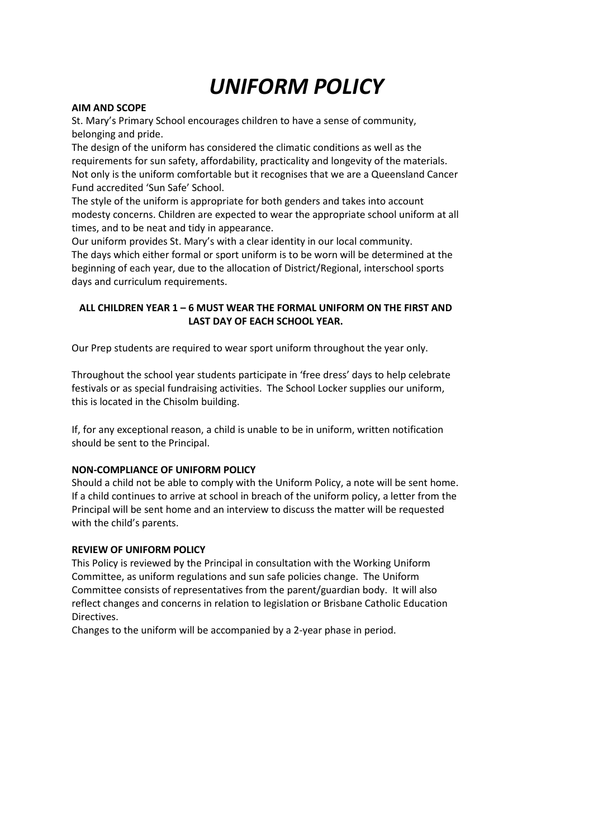# *UNIFORM POLICY*

## **AIM AND SCOPE**

St. Mary's Primary School encourages children to have a sense of community, belonging and pride.

The design of the uniform has considered the climatic conditions as well as the requirements for sun safety, affordability, practicality and longevity of the materials. Not only is the uniform comfortable but it recognises that we are a Queensland Cancer Fund accredited 'Sun Safe' School.

The style of the uniform is appropriate for both genders and takes into account modesty concerns. Children are expected to wear the appropriate school uniform at all times, and to be neat and tidy in appearance.

Our uniform provides St. Mary's with a clear identity in our local community. The days which either formal or sport uniform is to be worn will be determined at the beginning of each year, due to the allocation of District/Regional, interschool sports days and curriculum requirements.

## **ALL CHILDREN YEAR 1 – 6 MUST WEAR THE FORMAL UNIFORM ON THE FIRST AND LAST DAY OF EACH SCHOOL YEAR.**

Our Prep students are required to wear sport uniform throughout the year only.

Throughout the school year students participate in 'free dress' days to help celebrate festivals or as special fundraising activities. The School Locker supplies our uniform, this is located in the Chisolm building.

If, for any exceptional reason, a child is unable to be in uniform, written notification should be sent to the Principal.

# **NON-COMPLIANCE OF UNIFORM POLICY**

Should a child not be able to comply with the Uniform Policy, a note will be sent home. If a child continues to arrive at school in breach of the uniform policy, a letter from the Principal will be sent home and an interview to discuss the matter will be requested with the child's parents.

# **REVIEW OF UNIFORM POLICY**

This Policy is reviewed by the Principal in consultation with the Working Uniform Committee, as uniform regulations and sun safe policies change. The Uniform Committee consists of representatives from the parent/guardian body. It will also reflect changes and concerns in relation to legislation or Brisbane Catholic Education Directives.

Changes to the uniform will be accompanied by a 2-year phase in period.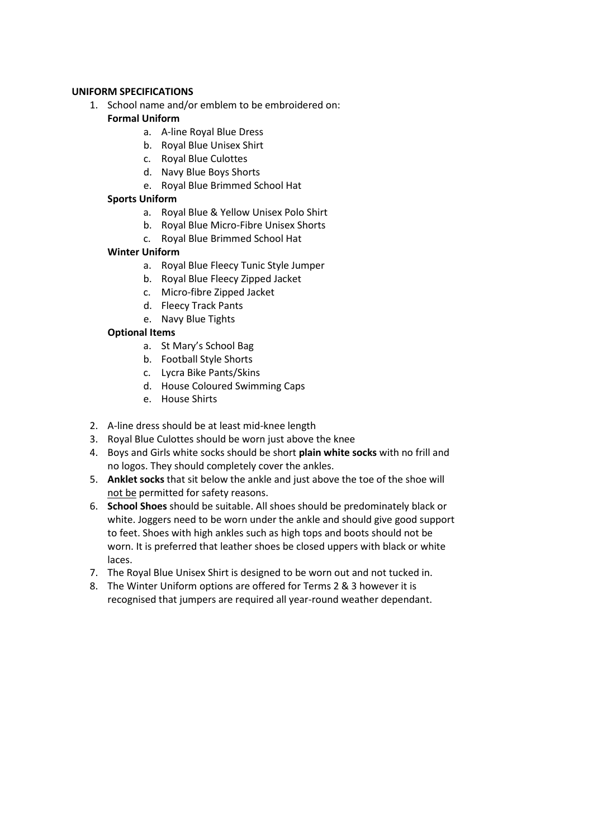## **UNIFORM SPECIFICATIONS**

1. School name and/or emblem to be embroidered on:

# **Formal Uniform**

- a. A-line Royal Blue Dress
- b. Royal Blue Unisex Shirt
- c. Royal Blue Culottes
- d. Navy Blue Boys Shorts
- e. Royal Blue Brimmed School Hat

# **Sports Uniform**

- a. Royal Blue & Yellow Unisex Polo Shirt
- b. Royal Blue Micro-Fibre Unisex Shorts
- c. Royal Blue Brimmed School Hat

# **Winter Uniform**

- a. Royal Blue Fleecy Tunic Style Jumper
- b. Royal Blue Fleecy Zipped Jacket
- c. Micro-fibre Zipped Jacket
- d. Fleecy Track Pants
- e. Navy Blue Tights

# **Optional Items**

- a. St Mary's School Bag
- b. Football Style Shorts
- c. Lycra Bike Pants/Skins
- d. House Coloured Swimming Caps
- e. House Shirts
- 2. A-line dress should be at least mid-knee length
- 3. Royal Blue Culottes should be worn just above the knee
- 4. Boys and Girls white socks should be short **plain white socks** with no frill and no logos. They should completely cover the ankles.
- 5. **Anklet socks** that sit below the ankle and just above the toe of the shoe will not be permitted for safety reasons.
- 6. **School Shoes** should be suitable. All shoes should be predominately black or white. Joggers need to be worn under the ankle and should give good support to feet. Shoes with high ankles such as high tops and boots should not be worn. It is preferred that leather shoes be closed uppers with black or white laces.
- 7. The Royal Blue Unisex Shirt is designed to be worn out and not tucked in.
- 8. The Winter Uniform options are offered for Terms 2 & 3 however it is recognised that jumpers are required all year-round weather dependant.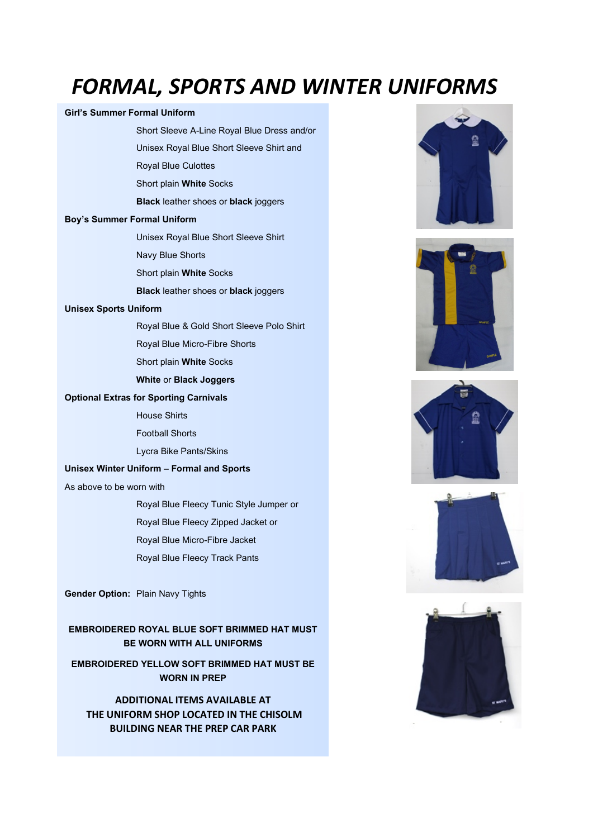# *FORMAL, SPORTS AND WINTER UNIFORMS*

#### **Girl's Summer Formal Uniform**

- Short Sleeve A-Line Royal Blue Dress and/or
- Unisex Royal Blue Short Sleeve Shirt and
- Royal Blue Culottes
- Short plain **White** Socks
- **Black** leather shoes or **black** joggers

### **Boy's Summer Formal Uniform**

- Unisex Royal Blue Short Sleeve Shirt
- Navy Blue Shorts
- Short plain **White** Socks
- **Black** leather shoes or **black** joggers

### **Unisex Sports Uniform**

- Royal Blue & Gold Short Sleeve Polo Shirt
- Royal Blue Micro-Fibre Shorts
- Short plain **White** Socks
- **White** or **Black Joggers**

### **Optional Extras for Sporting Carnivals**

- House Shirts
- Football Shorts
- Lycra Bike Pants/Skins

### **Unisex Winter Uniform – Formal and Sports**

As above to be worn with

- Royal Blue Fleecy Tunic Style Jumper or
- Royal Blue Fleecy Zipped Jacket or
- Royal Blue Micro-Fibre Jacket
- Royal Blue Fleecy Track Pants

**Gender Option:** Plain Navy Tights

**EMBROIDERED ROYAL BLUE SOFT BRIMMED HAT MUST BE WORN WITH ALL UNIFORMS**

**EMBROIDERED YELLOW SOFT BRIMMED HAT MUST BE WORN IN PREP**

**ADDITIONAL ITEMS AVAILABLE AT THE UNIFORM SHOP LOCATED IN THE CHISOLM BUILDING NEAR THE PREP CAR PARK**